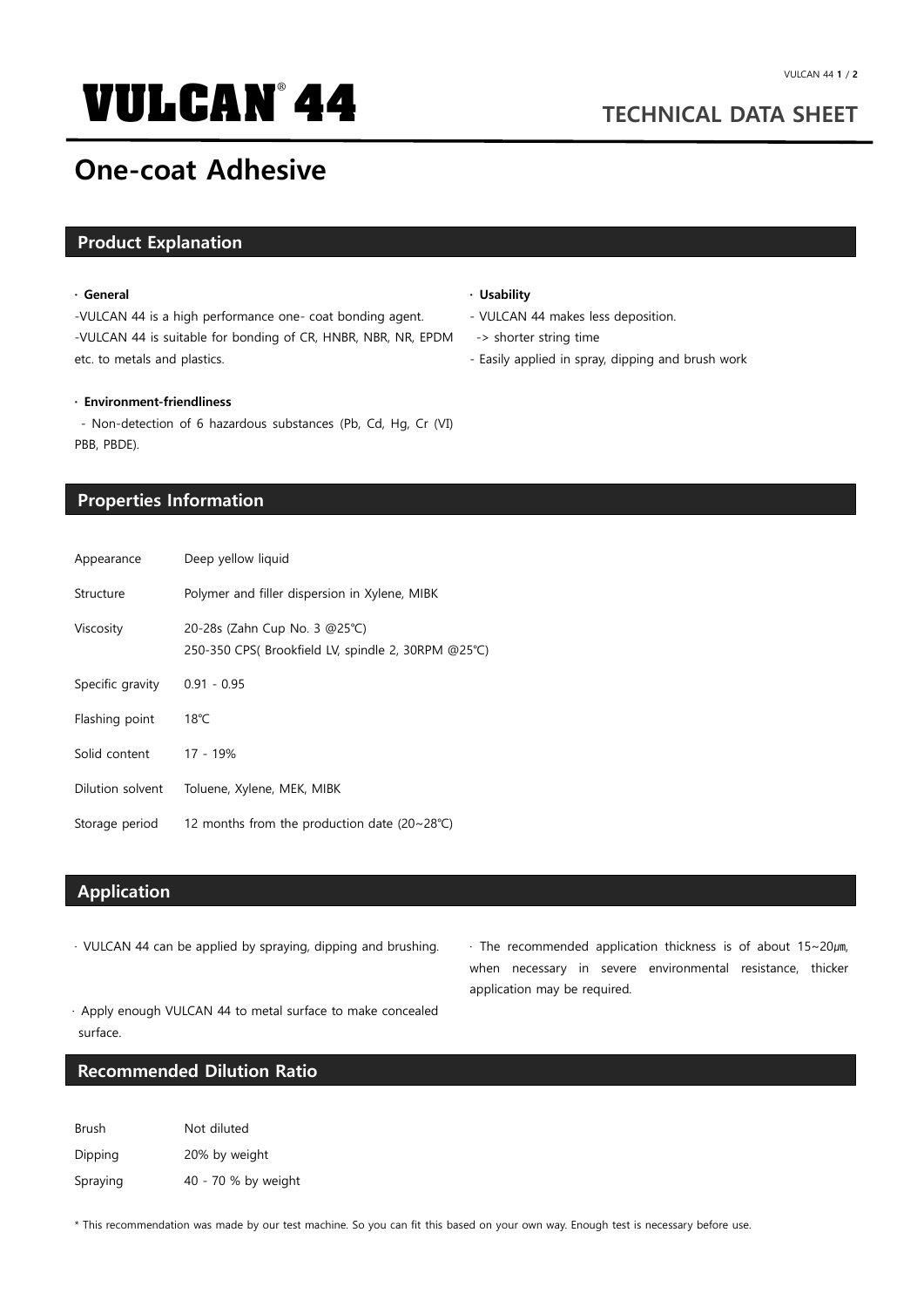# **VULCAN 44 TECHNICAL DATA SHEET** ®

## **One-coat Adhesive**

#### **Product Explanation**

#### **· General**

-VULCAN 44 is a high performance one- coat bonding agent. -VULCAN 44 is suitable for bonding of CR, HNBR, NBR, NR, EPDM etc. to metals and plastics.

**· Usability**

- VULCAN 44 makes less deposition.

- Easily applied in spray, dipping and brush work

-> shorter string time

#### **· Environment-friendliness**

- Non-detection of 6 hazardous substances (Pb, Cd, Hg, Cr (Ⅵ) PBB, PBDE).

### **Properties Information**

| Appearance       | Deep yellow liquid                                                                  |
|------------------|-------------------------------------------------------------------------------------|
| Structure        | Polymer and filler dispersion in Xylene, MIBK                                       |
| Viscosity        | 20-28s (Zahn Cup No. 3 @25°C)<br>250-350 CPS(Brookfield LV, spindle 2, 30RPM @25°C) |
| Specific gravity | $0.91 - 0.95$                                                                       |
| Flashing point   | $18^{\circ}$ C                                                                      |
| Solid content    | 17 - 19%                                                                            |
| Dilution solvent | Toluene, Xylene, MEK, MIBK                                                          |
| Storage period   | 12 months from the production date $(20~28^{\circ}\text{C})$                        |

### **Application**

- · VULCAN 44 can be applied by spraying, dipping and brushing.  $\cdot$  The recommended application thickness is of about 15~20 $\mu$ m,
	- when necessary in severe environmental resistance, thicker application may be required.
- · Apply enough VULCAN 44 to metal surface to make concealed surface.

### **Recommended Dilution Ratio**

Brush Not diluted Dipping 20% by weight

Spraying 40 - 70 % by weight

\* This recommendation was made by our test machine. So you can fit this based on your own way. Enough test is necessary before use.